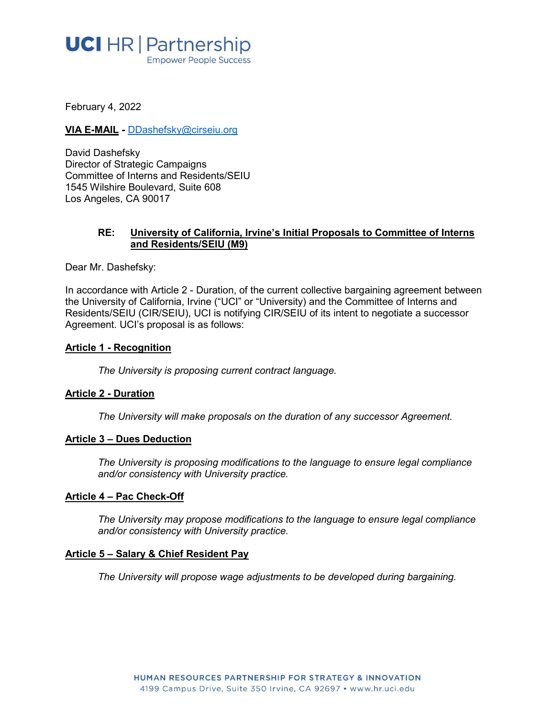# **UCI** HR | Partnership **Empower People Success**

February 4, 2022

#### **VIA E-MAIL -** [DDashefsky@cirseiu.org](mailto:DDashefsky@cirseiu.org)

David Dashefsky Director of Strategic Campaigns Committee of Interns and Residents/SEIU 1545 Wilshire Boulevard, Suite 608 Los Angeles, CA 90017

#### **RE: University of California, Irvine's Initial Proposals to Committee of Interns and Residents/SEIU (M9)**

Dear Mr. Dashefsky:

In accordance with Article 2 - Duration, of the current collective bargaining agreement between the University of California, Irvine ("UCI" or "University) and the Committee of Interns and Residents/SEIU (CIR/SEIU), UCI is notifying CIR/SEIU of its intent to negotiate a successor Agreement. UCI's proposal is as follows:

#### **Article 1 - Recognition**

*The University is proposing current contract language.*

# **Article 2 - Duration**

*The University will make proposals on the duration of any successor Agreement.*

#### **Article 3 – Dues Deduction**

*The University is proposing modifications to the language to ensure legal compliance and/or consistency with University practice.*

#### **Article 4 – Pac Check-Off**

*The University may propose modifications to the language to ensure legal compliance and/or consistency with University practice.*

#### **Article 5 – Salary & Chief Resident Pay**

*The University will propose wage adjustments to be developed during bargaining.*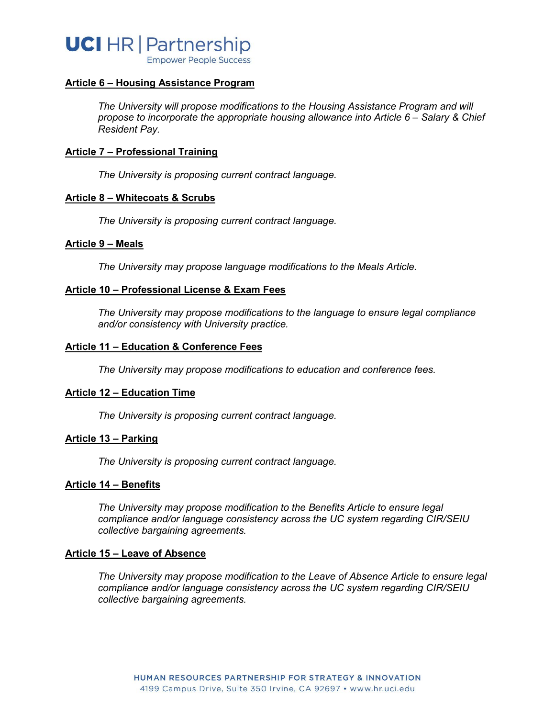

#### **Article 6 – Housing Assistance Program**

*The University will propose modifications to the Housing Assistance Program and will propose to incorporate the appropriate housing allowance into Article 6 – Salary & Chief Resident Pay.* 

# **Article 7 – Professional Training**

*The University is proposing current contract language.*

#### **Article 8 – Whitecoats & Scrubs**

*The University is proposing current contract language.*

#### **Article 9 – Meals**

*The University may propose language modifications to the Meals Article.*

#### **Article 10 – Professional License & Exam Fees**

*The University may propose modifications to the language to ensure legal compliance and/or consistency with University practice.*

# **Article 11 – Education & Conference Fees**

*The University may propose modifications to education and conference fees.*

#### **Article 12 – Education Time**

*The University is proposing current contract language.*

#### **Article 13 – Parking**

*The University is proposing current contract language.*

#### **Article 14 – Benefits**

*The University may propose modification to the Benefits Article to ensure legal compliance and/or language consistency across the UC system regarding CIR/SEIU collective bargaining agreements.* 

#### **Article 15 – Leave of Absence**

*The University may propose modification to the Leave of Absence Article to ensure legal compliance and/or language consistency across the UC system regarding CIR/SEIU collective bargaining agreements.*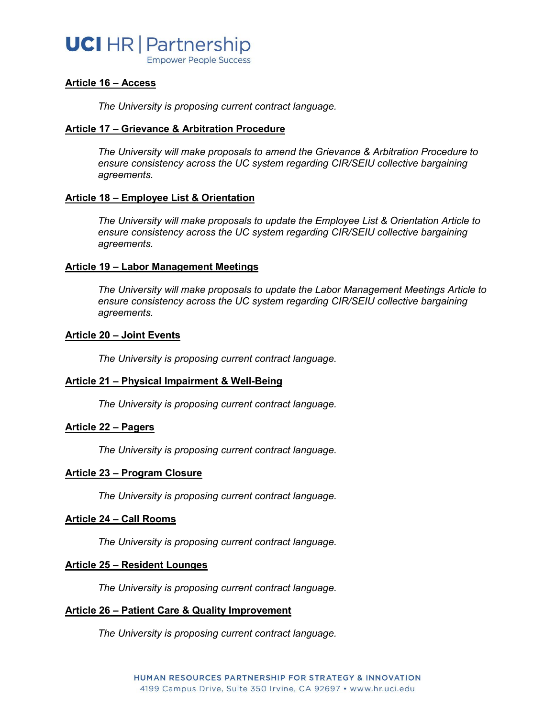# **UCI** HR | Partnership

**Empower People Success** 

# **Article 16 – Access**

*The University is proposing current contract language.*

#### **Article 17 – Grievance & Arbitration Procedure**

*The University will make proposals to amend the Grievance & Arbitration Procedure to ensure consistency across the UC system regarding CIR/SEIU collective bargaining agreements.* 

# **Article 18 – Employee List & Orientation**

*The University will make proposals to update the Employee List & Orientation Article to ensure consistency across the UC system regarding CIR/SEIU collective bargaining agreements.* 

# **Article 19 – Labor Management Meetings**

*The University will make proposals to update the Labor Management Meetings Article to ensure consistency across the UC system regarding CIR/SEIU collective bargaining agreements.* 

#### **Article 20 – Joint Events**

*The University is proposing current contract language.*

#### **Article 21 – Physical Impairment & Well-Being**

*The University is proposing current contract language.*

#### **Article 22 – Pagers**

*The University is proposing current contract language.*

#### **Article 23 – Program Closure**

*The University is proposing current contract language.*

#### **Article 24 – Call Rooms**

*The University is proposing current contract language.*

#### **Article 25 – Resident Lounges**

*The University is proposing current contract language.*

#### **Article 26 – Patient Care & Quality Improvement**

*The University is proposing current contract language.*